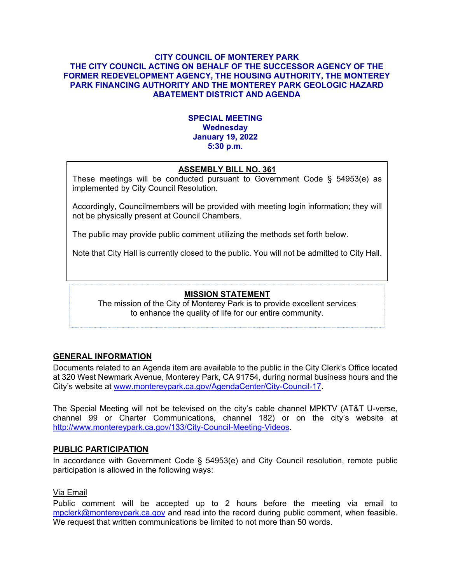#### **CITY COUNCIL OF MONTEREY PARK THE CITY COUNCIL ACTING ON BEHALF OF THE SUCCESSOR AGENCY OF THE FORMER REDEVELOPMENT AGENCY, THE HOUSING AUTHORITY, THE MONTEREY PARK FINANCING AUTHORITY AND THE MONTEREY PARK GEOLOGIC HAZARD ABATEMENT DISTRICT AND AGENDA**

### **SPECIAL MEETING Wednesday January 19, 2022 5:30 p.m.**

# **ASSEMBLY BILL NO. 361**

These meetings will be conducted pursuant to Government Code § 54953(e) as implemented by City Council Resolution.

Accordingly, Councilmembers will be provided with meeting login information; they will not be physically present at Council Chambers.

The public may provide public comment utilizing the methods set forth below.

Note that City Hall is currently closed to the public. You will not be admitted to City Hall.

# **MISSION STATEMENT**

The mission of the City of Monterey Park is to provide excellent services to enhance the quality of life for our entire community.

# **GENERAL INFORMATION**

Documents related to an Agenda item are available to the public in the City Clerk's Office located at 320 West Newmark Avenue, Monterey Park, CA 91754, during normal business hours and the City's website at [www.montereypark.ca.gov/AgendaCenter/City-Council-17.](http://www.montereypark.ca.gov/AgendaCenter/City-Council-17)

The Special Meeting will not be televised on the city's cable channel MPKTV (AT&T U-verse, channel 99 or Charter Communications, channel 182) or on the city's website at [http://www.montereypark.ca.gov/133/City-Council-Meeting-Videos.](http://www.montereypark.ca.gov/133/City-Council-Meeting-Videos)

#### **PUBLIC PARTICIPATION**

In accordance with Government Code § 54953(e) and City Council resolution, remote public participation is allowed in the following ways:

#### Via Email

Public comment will be accepted up to 2 hours before the meeting via email to [mpclerk@montereypark.ca.gov](mailto:mpclerk@montereypark.ca.gov) and read into the record during public comment, when feasible. We request that written communications be limited to not more than 50 words.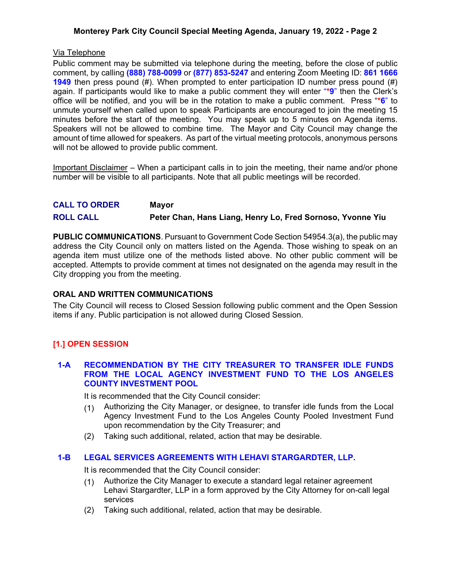### **Monterey Park City Council Special Meeting Agenda, January 19, 2022 - Page 2**

### Via Telephone

Public comment may be submitted via telephone during the meeting, before the close of public comment, by calling **(888) 788-0099** or **(877) 853-5247** and entering Zoom Meeting ID: **861 1666 1949** then press pound (#). When prompted to enter participation ID number press pound (#) again. If participants would like to make a public comment they will enter "**\*9**" then the Clerk's office will be notified, and you will be in the rotation to make a public comment. Press "**\*6**" to unmute yourself when called upon to speak Participants are encouraged to join the meeting 15 minutes before the start of the meeting. You may speak up to 5 minutes on Agenda items. Speakers will not be allowed to combine time. The Mayor and City Council may change the amount of time allowed for speakers. As part of the virtual meeting protocols, anonymous persons will not be allowed to provide public comment.

Important Disclaimer – When a participant calls in to join the meeting, their name and/or phone number will be visible to all participants. Note that all public meetings will be recorded.

# **CALL TO ORDER Mayor ROLL CALL Peter Chan, Hans Liang, Henry Lo, Fred Sornoso, Yvonne Yiu**

**PUBLIC COMMUNICATIONS**. Pursuant to Government Code Section 54954.3(a), the public may address the City Council only on matters listed on the Agenda. Those wishing to speak on an agenda item must utilize one of the methods listed above. No other public comment will be accepted. Attempts to provide comment at times not designated on the agenda may result in the City dropping you from the meeting.

#### **ORAL AND WRITTEN COMMUNICATIONS**

The City Council will recess to Closed Session following public comment and the Open Session items if any. Public participation is not allowed during Closed Session.

# **[1.] OPEN SESSION**

#### **1-A RECOMMENDATION BY THE CITY TREASURER TO TRANSFER IDLE FUNDS FROM THE LOCAL AGENCY INVESTMENT FUND TO THE LOS ANGELES COUNTY INVESTMENT POOL**

It is recommended that the City Council consider:

- (1) Authorizing the City Manager, or designee, to transfer idle funds from the Local Agency Investment Fund to the Los Angeles County Pooled Investment Fund upon recommendation by the City Treasurer; and
- (2) Taking such additional, related, action that may be desirable.

# **1-B LEGAL SERVICES AGREEMENTS WITH LEHAVI STARGARDTER, LLP.**

It is recommended that the City Council consider:

- (1) Authorize the City Manager to execute a standard legal retainer agreement Lehavi Stargardter, LLP in a form approved by the City Attorney for on-call legal services
- (2) Taking such additional, related, action that may be desirable.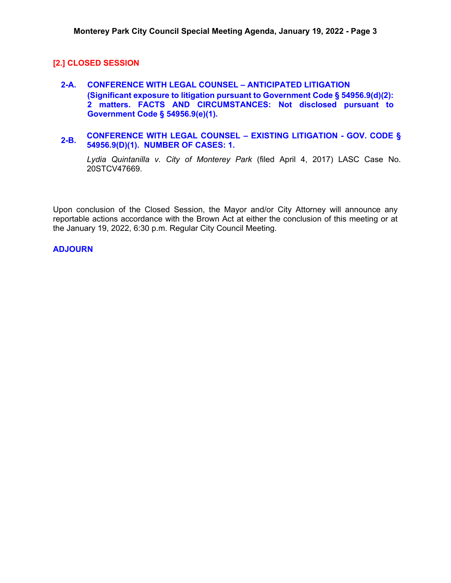### **[2.] CLOSED SESSION**

- **2-A. CONFERENCE WITH LEGAL COUNSEL – ANTICIPATED LITIGATION (Significant exposure to litigation pursuant to Government Code § 54956.9(d)(2): 2 matters. FACTS AND CIRCUMSTANCES: Not disclosed pursuant to Government Code § 54956.9(e)(1).**
- **2-B. CONFERENCE WITH LEGAL COUNSEL – EXISTING LITIGATION - GOV. CODE § 54956.9(D)(1). NUMBER OF CASES: 1.**

*Lydia Quintanilla v. City of Monterey Park* (filed April 4, 2017) LASC Case No. 20STCV47669.

Upon conclusion of the Closed Session, the Mayor and/or City Attorney will announce any reportable actions accordance with the Brown Act at either the conclusion of this meeting or at the January 19, 2022, 6:30 p.m. Regular City Council Meeting.

#### **ADJOURN**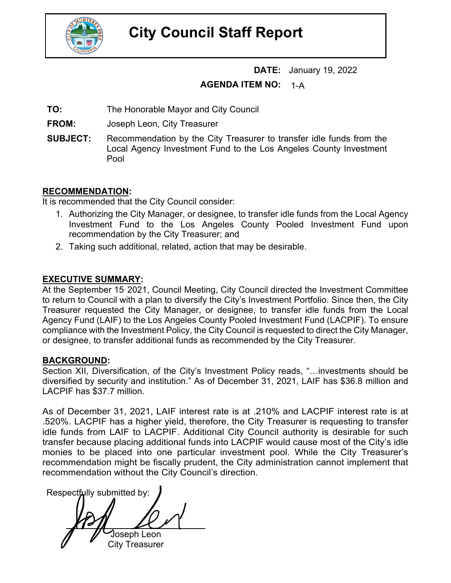

# **City Council Staff Report**

**DATE:** January 19, 2022

#### **AGENDA ITEM NO:** 1-A

**TO:** The Honorable Mayor and City Council

**FROM:** Joseph Leon, City Treasurer

**SUBJECT:** Recommendation by the City Treasurer to transfer idle funds from the Local Agency Investment Fund to the Los Angeles County Investment Pool

# **RECOMMENDATION:**

It is recommended that the City Council consider:

- 1. Authorizing the City Manager, or designee, to transfer idle funds from the Local Agency Investment Fund to the Los Angeles County Pooled Investment Fund upon recommendation by the City Treasurer; and
- 2. Taking such additional, related, action that may be desirable.

# **EXECUTIVE SUMMARY:**

At the September 15 2021, Council Meeting, City Council directed the Investment Committee to return to Council with a plan to diversify the City's Investment Portfolio. Since then, the City Treasurer requested the City Manager, or designee, to transfer idle funds from the Local Agency Fund (LAIF) to the Los Angeles County Pooled Investment Fund (LACPIF). To ensure compliance with the Investment Policy, the City Council is requested to direct the City Manager, or designee, to transfer additional funds as recommended by the City Treasurer.

# **BACKGROUND:**

Section XII, Diversification, of the City's Investment Policy reads, "…investments should be diversified by security and institution." As of December 31, 2021, LAIF has \$36.8 million and LACPIF has \$37.7 million.

As of December 31, 2021, LAIF interest rate is at .210% and LACPIF interest rate is at .520%. LACPIF has a higher yield, therefore, the City Treasurer is requesting to transfer idle funds from LAIF to LACPIF. Additional City Council authority is desirable for such transfer because placing additional funds into LACPIF would cause most of the City's idle monies to be placed into one particular investment pool. While the City Treasurer's recommendation might be fiscally prudent, the City administration cannot implement that recommendation without the City Council's direction.

Respectfully submitted by: Joseph Leon City Treasurer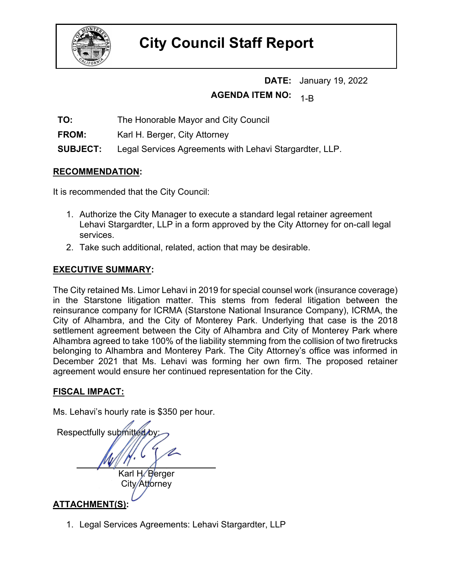

# **City Council Staff Report**

**DATE:** January 19, 2022 **AGENDA ITEM NO:** 1-B

**TO:** The Honorable Mayor and City Council

**FROM:** Karl H. Berger, City Attorney

**SUBJECT:** Legal Services Agreements with Lehavi Stargardter, LLP.

# **RECOMMENDATION:**

It is recommended that the City Council:

- 1. Authorize the City Manager to execute a standard legal retainer agreement Lehavi Stargardter, LLP in a form approved by the City Attorney for on-call legal services.
- 2. Take such additional, related, action that may be desirable.

# **EXECUTIVE SUMMARY:**

The City retained Ms. Limor Lehavi in 2019 for special counsel work (insurance coverage) in the Starstone litigation matter. This stems from federal litigation between the reinsurance company for ICRMA (Starstone National Insurance Company), ICRMA, the City of Alhambra, and the City of Monterey Park. Underlying that case is the 2018 settlement agreement between the City of Alhambra and City of Monterey Park where Alhambra agreed to take 100% of the liability stemming from the collision of two firetrucks belonging to Alhambra and Monterey Park. The City Attorney's office was informed in December 2021 that Ms. Lehavi was forming her own firm. The proposed retainer agreement would ensure her continued representation for the City.

# **FISCAL IMPACT:**

Ms. Lehavi's hourly rate is \$350 per hour.

Respectfully submitted by Karl H/Berger City/Attorney

# **ATTACHMENT(S):**

1. Legal Services Agreements: Lehavi Stargardter, LLP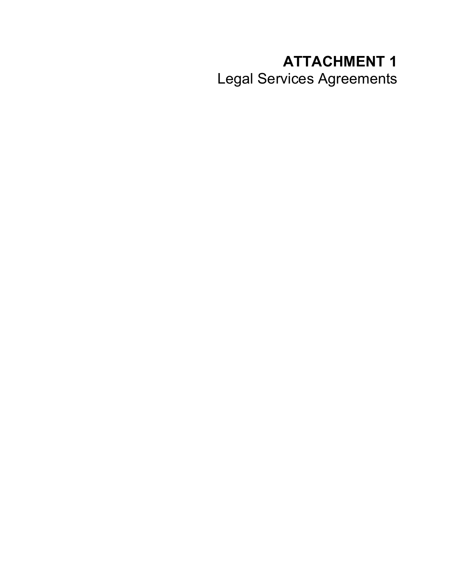# **ATTACHMENT 1** Legal Services Agreements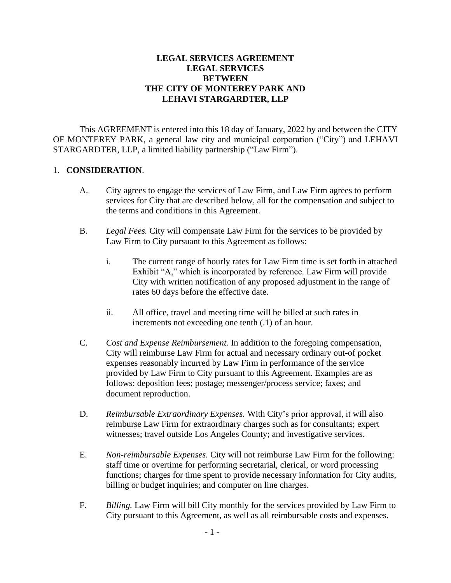# **LEGAL SERVICES AGREEMENT LEGAL SERVICES BETWEEN THE CITY OF MONTEREY PARK AND LEHAVI STARGARDTER, LLP**

This AGREEMENT is entered into this 18 day of January, 2022 by and between the CITY OF MONTEREY PARK, a general law city and municipal corporation ("City") and LEHAVI STARGARDTER, LLP, a limited liability partnership ("Law Firm").

# 1. **CONSIDERATION**.

- A. City agrees to engage the services of Law Firm, and Law Firm agrees to perform services for City that are described below, all for the compensation and subject to the terms and conditions in this Agreement.
- B. *Legal Fees.* City will compensate Law Firm for the services to be provided by Law Firm to City pursuant to this Agreement as follows:
	- i. The current range of hourly rates for Law Firm time is set forth in attached Exhibit "A," which is incorporated by reference. Law Firm will provide City with written notification of any proposed adjustment in the range of rates 60 days before the effective date.
	- ii. All office, travel and meeting time will be billed at such rates in increments not exceeding one tenth (.1) of an hour.
- C. *Cost and Expense Reimbursement.* In addition to the foregoing compensation, City will reimburse Law Firm for actual and necessary ordinary out-of pocket expenses reasonably incurred by Law Firm in performance of the service provided by Law Firm to City pursuant to this Agreement. Examples are as follows: deposition fees; postage; messenger/process service; faxes; and document reproduction.
- D. *Reimbursable Extraordinary Expenses.* With City's prior approval, it will also reimburse Law Firm for extraordinary charges such as for consultants; expert witnesses; travel outside Los Angeles County; and investigative services.
- E. *Non-reimbursable Expenses.* City will not reimburse Law Firm for the following: staff time or overtime for performing secretarial, clerical, or word processing functions; charges for time spent to provide necessary information for City audits, billing or budget inquiries; and computer on line charges.
- F. *Billing.* Law Firm will bill City monthly for the services provided by Law Firm to City pursuant to this Agreement, as well as all reimbursable costs and expenses.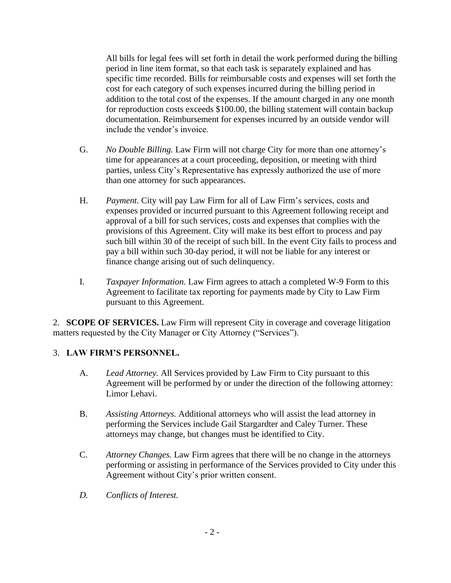All bills for legal fees will set forth in detail the work performed during the billing period in line item format, so that each task is separately explained and has specific time recorded. Bills for reimbursable costs and expenses will set forth the cost for each category of such expenses incurred during the billing period in addition to the total cost of the expenses. If the amount charged in any one month for reproduction costs exceeds \$100.00, the billing statement will contain backup documentation. Reimbursement for expenses incurred by an outside vendor will include the vendor's invoice.

- G. *No Double Billing.* Law Firm will not charge City for more than one attorney's time for appearances at a court proceeding, deposition, or meeting with third parties, unless City's Representative has expressly authorized the use of more than one attorney for such appearances.
- H. *Payment.* City will pay Law Firm for all of Law Firm's services, costs and expenses provided or incurred pursuant to this Agreement following receipt and approval of a bill for such services, costs and expenses that complies with the provisions of this Agreement. City will make its best effort to process and pay such bill within 30 of the receipt of such bill. In the event City fails to process and pay a bill within such 30-day period, it will not be liable for any interest or finance change arising out of such delinquency.
- I. *Taxpayer Information.* Law Firm agrees to attach a completed W-9 Form to this Agreement to facilitate tax reporting for payments made by City to Law Firm pursuant to this Agreement.

2. **SCOPE OF SERVICES.** Law Firm will represent City in coverage and coverage litigation matters requested by the City Manager or City Attorney ("Services").

# 3. **LAW FIRM'S PERSONNEL.**

- A. *Lead Attorney.* All Services provided by Law Firm to City pursuant to this Agreement will be performed by or under the direction of the following attorney: Limor Lehavi.
- B. *Assisting Attorneys.* Additional attorneys who will assist the lead attorney in performing the Services include Gail Stargardter and Caley Turner. These attorneys may change, but changes must be identified to City.
- C. *Attorney Changes.* Law Firm agrees that there will be no change in the attorneys performing or assisting in performance of the Services provided to City under this Agreement without City's prior written consent.
- *D. Conflicts of Interest.*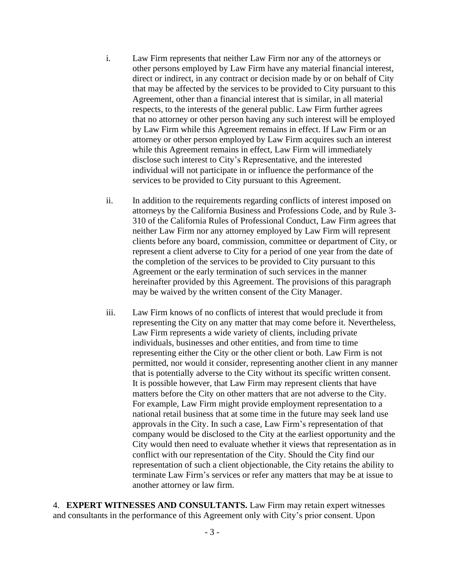- i. Law Firm represents that neither Law Firm nor any of the attorneys or other persons employed by Law Firm have any material financial interest, direct or indirect, in any contract or decision made by or on behalf of City that may be affected by the services to be provided to City pursuant to this Agreement, other than a financial interest that is similar, in all material respects, to the interests of the general public. Law Firm further agrees that no attorney or other person having any such interest will be employed by Law Firm while this Agreement remains in effect. If Law Firm or an attorney or other person employed by Law Firm acquires such an interest while this Agreement remains in effect, Law Firm will immediately disclose such interest to City's Representative, and the interested individual will not participate in or influence the performance of the services to be provided to City pursuant to this Agreement.
- ii. In addition to the requirements regarding conflicts of interest imposed on attorneys by the California Business and Professions Code, and by Rule 3- 310 of the California Rules of Professional Conduct, Law Firm agrees that neither Law Firm nor any attorney employed by Law Firm will represent clients before any board, commission, committee or department of City, or represent a client adverse to City for a period of one year from the date of the completion of the services to be provided to City pursuant to this Agreement or the early termination of such services in the manner hereinafter provided by this Agreement. The provisions of this paragraph may be waived by the written consent of the City Manager.
- iii. Law Firm knows of no conflicts of interest that would preclude it from representing the City on any matter that may come before it. Nevertheless, Law Firm represents a wide variety of clients, including private individuals, businesses and other entities, and from time to time representing either the City or the other client or both. Law Firm is not permitted, nor would it consider, representing another client in any manner that is potentially adverse to the City without its specific written consent. It is possible however, that Law Firm may represent clients that have matters before the City on other matters that are not adverse to the City. For example, Law Firm might provide employment representation to a national retail business that at some time in the future may seek land use approvals in the City. In such a case, Law Firm's representation of that company would be disclosed to the City at the earliest opportunity and the City would then need to evaluate whether it views that representation as in conflict with our representation of the City. Should the City find our representation of such a client objectionable, the City retains the ability to terminate Law Firm's services or refer any matters that may be at issue to another attorney or law firm.

4. **EXPERT WITNESSES AND CONSULTANTS.** Law Firm may retain expert witnesses and consultants in the performance of this Agreement only with City's prior consent. Upon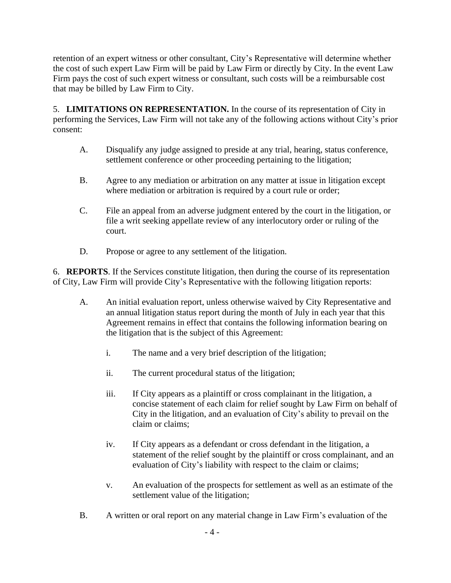retention of an expert witness or other consultant, City's Representative will determine whether the cost of such expert Law Firm will be paid by Law Firm or directly by City. In the event Law Firm pays the cost of such expert witness or consultant, such costs will be a reimbursable cost that may be billed by Law Firm to City.

5. **LIMITATIONS ON REPRESENTATION.** In the course of its representation of City in performing the Services, Law Firm will not take any of the following actions without City's prior consent:

- A. Disqualify any judge assigned to preside at any trial, hearing, status conference, settlement conference or other proceeding pertaining to the litigation;
- B. Agree to any mediation or arbitration on any matter at issue in litigation except where mediation or arbitration is required by a court rule or order;
- C. File an appeal from an adverse judgment entered by the court in the litigation, or file a writ seeking appellate review of any interlocutory order or ruling of the court.
- D. Propose or agree to any settlement of the litigation.

6. **REPORTS**. If the Services constitute litigation, then during the course of its representation of City, Law Firm will provide City's Representative with the following litigation reports:

- A. An initial evaluation report, unless otherwise waived by City Representative and an annual litigation status report during the month of July in each year that this Agreement remains in effect that contains the following information bearing on the litigation that is the subject of this Agreement:
	- i. The name and a very brief description of the litigation;
	- ii. The current procedural status of the litigation;
	- iii. If City appears as a plaintiff or cross complainant in the litigation, a concise statement of each claim for relief sought by Law Firm on behalf of City in the litigation, and an evaluation of City's ability to prevail on the claim or claims;
	- iv. If City appears as a defendant or cross defendant in the litigation, a statement of the relief sought by the plaintiff or cross complainant, and an evaluation of City's liability with respect to the claim or claims;
	- v. An evaluation of the prospects for settlement as well as an estimate of the settlement value of the litigation;
- B. A written or oral report on any material change in Law Firm's evaluation of the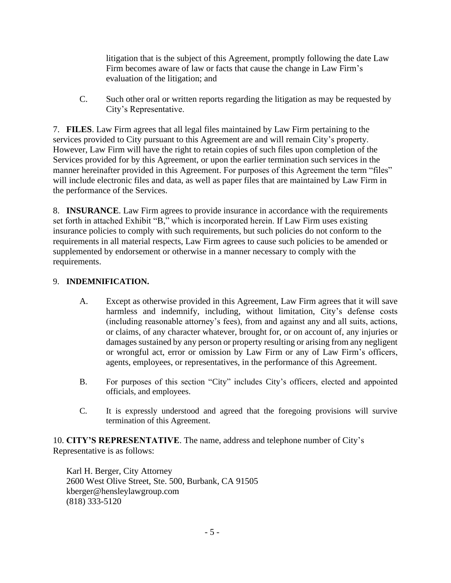litigation that is the subject of this Agreement, promptly following the date Law Firm becomes aware of law or facts that cause the change in Law Firm's evaluation of the litigation; and

C. Such other oral or written reports regarding the litigation as may be requested by City's Representative.

7. **FILES**. Law Firm agrees that all legal files maintained by Law Firm pertaining to the services provided to City pursuant to this Agreement are and will remain City's property. However, Law Firm will have the right to retain copies of such files upon completion of the Services provided for by this Agreement, or upon the earlier termination such services in the manner hereinafter provided in this Agreement. For purposes of this Agreement the term "files" will include electronic files and data, as well as paper files that are maintained by Law Firm in the performance of the Services.

8. **INSURANCE**. Law Firm agrees to provide insurance in accordance with the requirements set forth in attached Exhibit "B," which is incorporated herein. If Law Firm uses existing insurance policies to comply with such requirements, but such policies do not conform to the requirements in all material respects, Law Firm agrees to cause such policies to be amended or supplemented by endorsement or otherwise in a manner necessary to comply with the requirements.

# 9. **INDEMNIFICATION.**

- A. Except as otherwise provided in this Agreement, Law Firm agrees that it will save harmless and indemnify, including, without limitation, City's defense costs (including reasonable attorney's fees), from and against any and all suits, actions, or claims, of any character whatever, brought for, or on account of, any injuries or damages sustained by any person or property resulting or arising from any negligent or wrongful act, error or omission by Law Firm or any of Law Firm's officers, agents, employees, or representatives, in the performance of this Agreement.
- B. For purposes of this section "City" includes City's officers, elected and appointed officials, and employees.
- C. It is expressly understood and agreed that the foregoing provisions will survive termination of this Agreement.

10. **CITY'S REPRESENTATIVE**. The name, address and telephone number of City's Representative is as follows:

Karl H. Berger, City Attorney 2600 West Olive Street, Ste. 500, Burbank, CA 91505 kberger@hensleylawgroup.com (818) 333-5120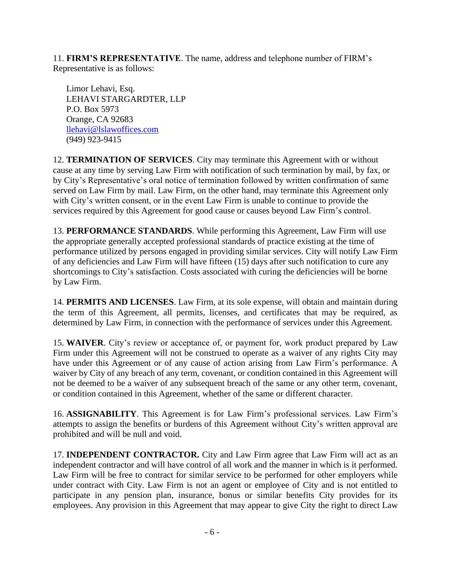11. **FIRM'S REPRESENTATIVE**. The name, address and telephone number of FIRM's Representative is as follows:

Limor Lehavi, Esq. LEHAVI STARGARDTER, LLP P.O. Box 5973 Orange, CA 92683 [llehavi@lslawoffices.com](mailto:llehavi@lslawoffices.com) (949) 923-9415

12. **TERMINATION OF SERVICES**. City may terminate this Agreement with or without cause at any time by serving Law Firm with notification of such termination by mail, by fax, or by City's Representative's oral notice of termination followed by written confirmation of same served on Law Firm by mail. Law Firm, on the other hand, may terminate this Agreement only with City's written consent, or in the event Law Firm is unable to continue to provide the services required by this Agreement for good cause or causes beyond Law Firm's control.

13. **PERFORMANCE STANDARDS**. While performing this Agreement, Law Firm will use the appropriate generally accepted professional standards of practice existing at the time of performance utilized by persons engaged in providing similar services. City will notify Law Firm of any deficiencies and Law Firm will have fifteen (15) days after such notification to cure any shortcomings to City's satisfaction. Costs associated with curing the deficiencies will be borne by Law Firm.

14. **PERMITS AND LICENSES**. Law Firm, at its sole expense, will obtain and maintain during the term of this Agreement, all permits, licenses, and certificates that may be required, as determined by Law Firm, in connection with the performance of services under this Agreement.

15. **WAIVER**. City's review or acceptance of, or payment for, work product prepared by Law Firm under this Agreement will not be construed to operate as a waiver of any rights City may have under this Agreement or of any cause of action arising from Law Firm's performance. A waiver by City of any breach of any term, covenant, or condition contained in this Agreement will not be deemed to be a waiver of any subsequent breach of the same or any other term, covenant, or condition contained in this Agreement, whether of the same or different character.

16. **ASSIGNABILITY**. This Agreement is for Law Firm's professional services. Law Firm's attempts to assign the benefits or burdens of this Agreement without City's written approval are prohibited and will be null and void.

17. **INDEPENDENT CONTRACTOR.** City and Law Firm agree that Law Firm will act as an independent contractor and will have control of all work and the manner in which is it performed. Law Firm will be free to contract for similar service to be performed for other employers while under contract with City. Law Firm is not an agent or employee of City and is not entitled to participate in any pension plan, insurance, bonus or similar benefits City provides for its employees. Any provision in this Agreement that may appear to give City the right to direct Law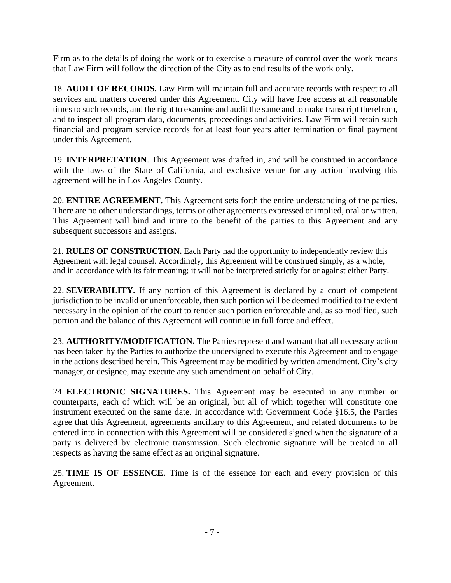Firm as to the details of doing the work or to exercise a measure of control over the work means that Law Firm will follow the direction of the City as to end results of the work only.

18. **AUDIT OF RECORDS.** Law Firm will maintain full and accurate records with respect to all services and matters covered under this Agreement. City will have free access at all reasonable times to such records, and the right to examine and audit the same and to make transcript therefrom, and to inspect all program data, documents, proceedings and activities. Law Firm will retain such financial and program service records for at least four years after termination or final payment under this Agreement.

19. **INTERPRETATION**. This Agreement was drafted in, and will be construed in accordance with the laws of the State of California, and exclusive venue for any action involving this agreement will be in Los Angeles County.

20. **ENTIRE AGREEMENT.** This Agreement sets forth the entire understanding of the parties. There are no other understandings, terms or other agreements expressed or implied, oral or written. This Agreement will bind and inure to the benefit of the parties to this Agreement and any subsequent successors and assigns.

21. **RULES OF CONSTRUCTION.** Each Party had the opportunity to independently review this Agreement with legal counsel. Accordingly, this Agreement will be construed simply, as a whole, and in accordance with its fair meaning; it will not be interpreted strictly for or against either Party.

22. **SEVERABILITY.** If any portion of this Agreement is declared by a court of competent jurisdiction to be invalid or unenforceable, then such portion will be deemed modified to the extent necessary in the opinion of the court to render such portion enforceable and, as so modified, such portion and the balance of this Agreement will continue in full force and effect.

23. **AUTHORITY/MODIFICATION.** The Parties represent and warrant that all necessary action has been taken by the Parties to authorize the undersigned to execute this Agreement and to engage in the actions described herein. This Agreement may be modified by written amendment. City's city manager, or designee, may execute any such amendment on behalf of City.

24. **ELECTRONIC SIGNATURES.** This Agreement may be executed in any number or counterparts, each of which will be an original, but all of which together will constitute one instrument executed on the same date. In accordance with Government Code §16.5, the Parties agree that this Agreement, agreements ancillary to this Agreement, and related documents to be entered into in connection with this Agreement will be considered signed when the signature of a party is delivered by electronic transmission. Such electronic signature will be treated in all respects as having the same effect as an original signature.

25. **TIME IS OF ESSENCE.** Time is of the essence for each and every provision of this Agreement.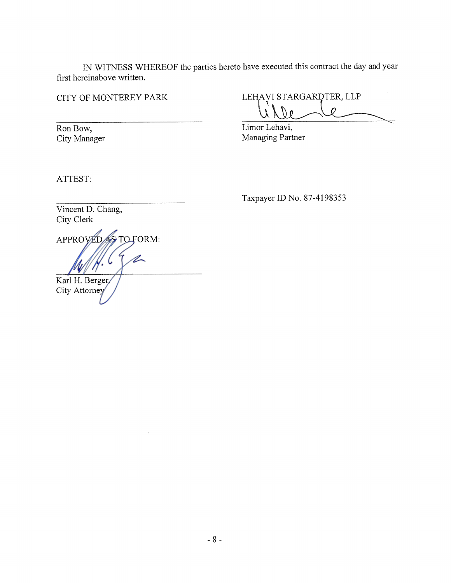IN WITNESS WHEREOF the parties hereto have executed this contract the day and year first hereinabove written.

# CITY OF MONTEREY PARK

Ron Bow, City Manager

LEHAVI STARGARDTER, LLP

Limor Lehavi, Managing Partner

ATTEST:

Taxpayer ID No. 87-4198353

Vincent D. Chang, City Clerk

APPROVED AS TO FORM: Karl H. Berger, City Attorney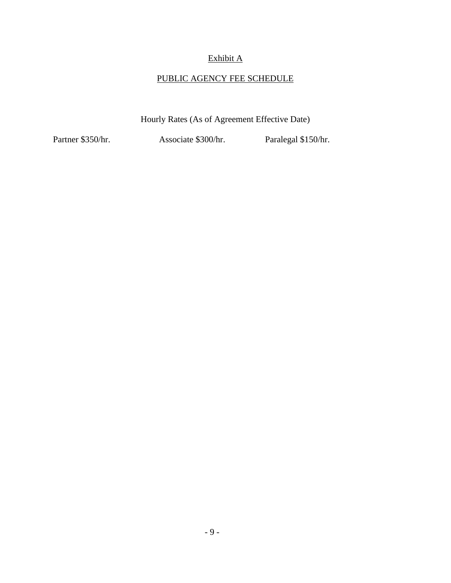# Exhibit A

# PUBLIC AGENCY FEE SCHEDULE

Hourly Rates (As of Agreement Effective Date)

Partner \$350/hr. Associate \$300/hr. Paralegal \$150/hr.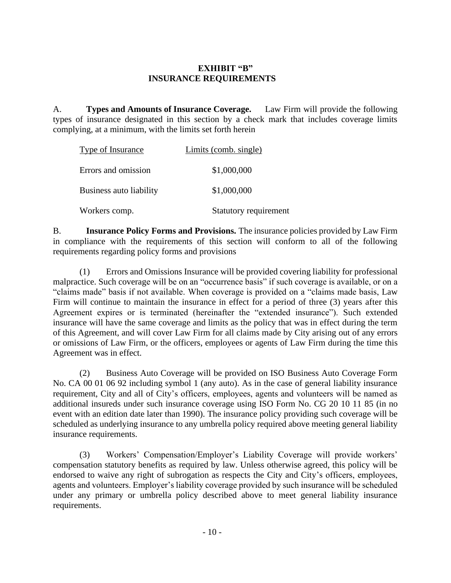# **EXHIBIT "B" INSURANCE REQUIREMENTS**

A. **Types and Amounts of Insurance Coverage.** Law Firm will provide the following types of insurance designated in this section by a check mark that includes coverage limits complying, at a minimum, with the limits set forth herein

| <b>Type of Insurance</b>       | Limits (comb. single) |  |
|--------------------------------|-----------------------|--|
| Errors and omission            | \$1,000,000           |  |
| <b>Business auto liability</b> | \$1,000,000           |  |
| Workers comp.                  | Statutory requirement |  |

B. **Insurance Policy Forms and Provisions.** The insurance policies provided by Law Firm in compliance with the requirements of this section will conform to all of the following requirements regarding policy forms and provisions

(1) Errors and Omissions Insurance will be provided covering liability for professional malpractice. Such coverage will be on an "occurrence basis" if such coverage is available, or on a "claims made" basis if not available. When coverage is provided on a "claims made basis, Law Firm will continue to maintain the insurance in effect for a period of three (3) years after this Agreement expires or is terminated (hereinafter the "extended insurance"). Such extended insurance will have the same coverage and limits as the policy that was in effect during the term of this Agreement, and will cover Law Firm for all claims made by City arising out of any errors or omissions of Law Firm, or the officers, employees or agents of Law Firm during the time this Agreement was in effect.

(2) Business Auto Coverage will be provided on ISO Business Auto Coverage Form No. CA 00 01 06 92 including symbol 1 (any auto). As in the case of general liability insurance requirement, City and all of City's officers, employees, agents and volunteers will be named as additional insureds under such insurance coverage using ISO Form No. CG 20 10 11 85 (in no event with an edition date later than 1990). The insurance policy providing such coverage will be scheduled as underlying insurance to any umbrella policy required above meeting general liability insurance requirements.

(3) Workers' Compensation/Employer's Liability Coverage will provide workers' compensation statutory benefits as required by law. Unless otherwise agreed, this policy will be endorsed to waive any right of subrogation as respects the City and City's officers, employees, agents and volunteers. Employer's liability coverage provided by such insurance will be scheduled under any primary or umbrella policy described above to meet general liability insurance requirements.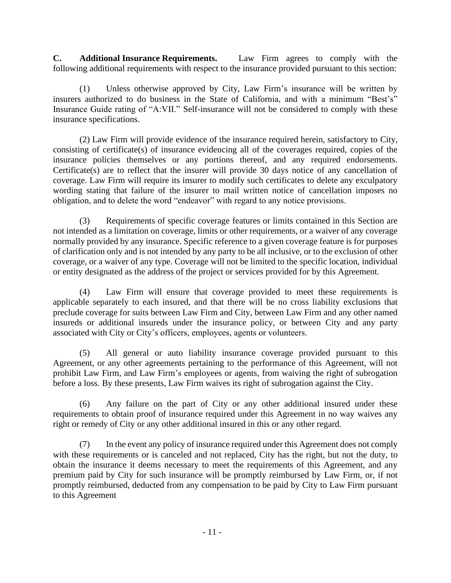**C. Additional Insurance Requirements.** Law Firm agrees to comply with the following additional requirements with respect to the insurance provided pursuant to this section:

(1) Unless otherwise approved by City, Law Firm's insurance will be written by insurers authorized to do business in the State of California, and with a minimum "Best's" Insurance Guide rating of "A:VII." Self-insurance will not be considered to comply with these insurance specifications.

(2) Law Firm will provide evidence of the insurance required herein, satisfactory to City, consisting of certificate(s) of insurance evidencing all of the coverages required, copies of the insurance policies themselves or any portions thereof, and any required endorsements. Certificate(s) are to reflect that the insurer will provide 30 days notice of any cancellation of coverage. Law Firm will require its insurer to modify such certificates to delete any exculpatory wording stating that failure of the insurer to mail written notice of cancellation imposes no obligation, and to delete the word "endeavor" with regard to any notice provisions.

(3) Requirements of specific coverage features or limits contained in this Section are not intended as a limitation on coverage, limits or other requirements, or a waiver of any coverage normally provided by any insurance. Specific reference to a given coverage feature is for purposes of clarification only and is not intended by any party to be all inclusive, or to the exclusion of other coverage, or a waiver of any type. Coverage will not be limited to the specific location, individual or entity designated as the address of the project or services provided for by this Agreement.

(4) Law Firm will ensure that coverage provided to meet these requirements is applicable separately to each insured, and that there will be no cross liability exclusions that preclude coverage for suits between Law Firm and City, between Law Firm and any other named insureds or additional insureds under the insurance policy, or between City and any party associated with City or City's officers, employees, agents or volunteers.

(5) All general or auto liability insurance coverage provided pursuant to this Agreement, or any other agreements pertaining to the performance of this Agreement, will not prohibit Law Firm, and Law Firm's employees or agents, from waiving the right of subrogation before a loss. By these presents, Law Firm waives its right of subrogation against the City.

(6) Any failure on the part of City or any other additional insured under these requirements to obtain proof of insurance required under this Agreement in no way waives any right or remedy of City or any other additional insured in this or any other regard.

(7) In the event any policy of insurance required under this Agreement does not comply with these requirements or is canceled and not replaced, City has the right, but not the duty, to obtain the insurance it deems necessary to meet the requirements of this Agreement, and any premium paid by City for such insurance will be promptly reimbursed by Law Firm, or, if not promptly reimbursed, deducted from any compensation to be paid by City to Law Firm pursuant to this Agreement